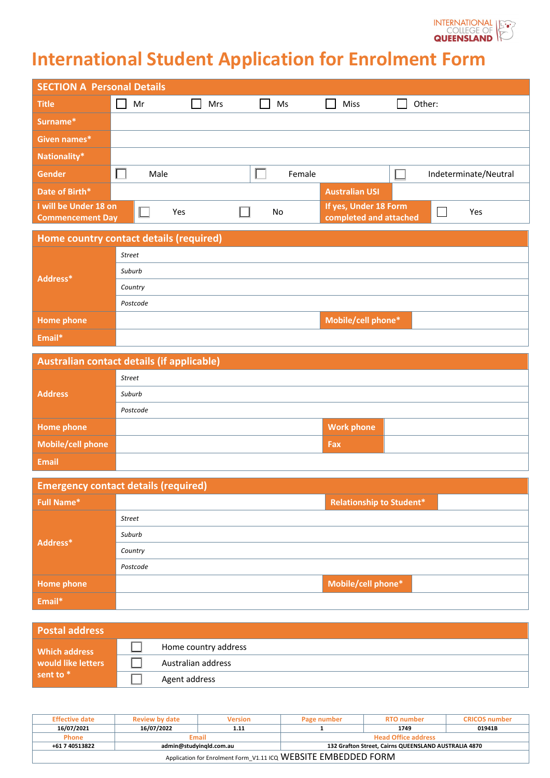

# **International Student Application for Enrolment Form**

| <b>SECTION A Personal Details</b>                |      |            |        |                                                 |  |                       |
|--------------------------------------------------|------|------------|--------|-------------------------------------------------|--|-----------------------|
| <b>Title</b>                                     | Mr   | <b>Mrs</b> | Ms     | <b>Miss</b>                                     |  | Other:                |
| Surname*                                         |      |            |        |                                                 |  |                       |
| Given names*                                     |      |            |        |                                                 |  |                       |
| Nationality*                                     |      |            |        |                                                 |  |                       |
| Gender                                           | Male |            | Female |                                                 |  | Indeterminate/Neutral |
| Date of Birth*                                   |      |            |        | <b>Australian USI</b>                           |  |                       |
| I will be Under 18 on<br><b>Commencement Day</b> | Yes  |            | No.    | If yes, Under 18 Form<br>completed and attached |  | Yes                   |

|            | Home country contact details (required) |                    |  |  |  |  |  |
|------------|-----------------------------------------|--------------------|--|--|--|--|--|
| Address*   | <b>Street</b>                           |                    |  |  |  |  |  |
|            | Suburb                                  |                    |  |  |  |  |  |
|            | Country                                 |                    |  |  |  |  |  |
|            | Postcode                                |                    |  |  |  |  |  |
| Home phone |                                         | Mobile/cell phone* |  |  |  |  |  |
| Email*     |                                         |                    |  |  |  |  |  |

| Australian contact details (if applicable) |               |                   |  |  |  |
|--------------------------------------------|---------------|-------------------|--|--|--|
| <b>Address</b>                             | <b>Street</b> |                   |  |  |  |
|                                            | Suburb        |                   |  |  |  |
|                                            | Postcode      |                   |  |  |  |
| <b>Home phone</b>                          |               | <b>Work phone</b> |  |  |  |
| Mobile/cell phone                          |               | Fax               |  |  |  |
| <b>Email</b>                               |               |                   |  |  |  |

| <b>Emergency contact details (required)</b> |                                 |  |  |  |  |  |
|---------------------------------------------|---------------------------------|--|--|--|--|--|
| <b>Full Name*</b>                           | <b>Relationship to Student*</b> |  |  |  |  |  |
|                                             | <b>Street</b>                   |  |  |  |  |  |
|                                             | Suburb                          |  |  |  |  |  |
| Address*                                    | Country                         |  |  |  |  |  |
|                                             | Postcode                        |  |  |  |  |  |
| <b>Home phone</b>                           | Mobile/cell phone*              |  |  |  |  |  |
| Email*                                      |                                 |  |  |  |  |  |

| <b>Postal address</b>             |                      |
|-----------------------------------|----------------------|
| Which address                     | Home country address |
| would like letters<br>sent to $*$ | Australian address   |
|                                   | Agent address        |

| <b>Effective date</b>                                          | <b>Review by date</b>                                                           | <b>Version</b> | Page number                | <b>RTO</b> number | <b>CRICOS</b> number |  |
|----------------------------------------------------------------|---------------------------------------------------------------------------------|----------------|----------------------------|-------------------|----------------------|--|
| 16/07/2021                                                     | 16/07/2022                                                                      | 1.11           |                            | 1749              | 01941B               |  |
| <b>Phone</b>                                                   |                                                                                 | <b>Email</b>   | <b>Head Office address</b> |                   |                      |  |
| +61 7 40513822                                                 | admin@studyingld.com.au<br>132 Grafton Street, Cairns QUEENSLAND AUSTRALIA 4870 |                |                            |                   |                      |  |
| Application for Enrolment Form_V1.11 ICQ WEBSITE EMBEDDED FORM |                                                                                 |                |                            |                   |                      |  |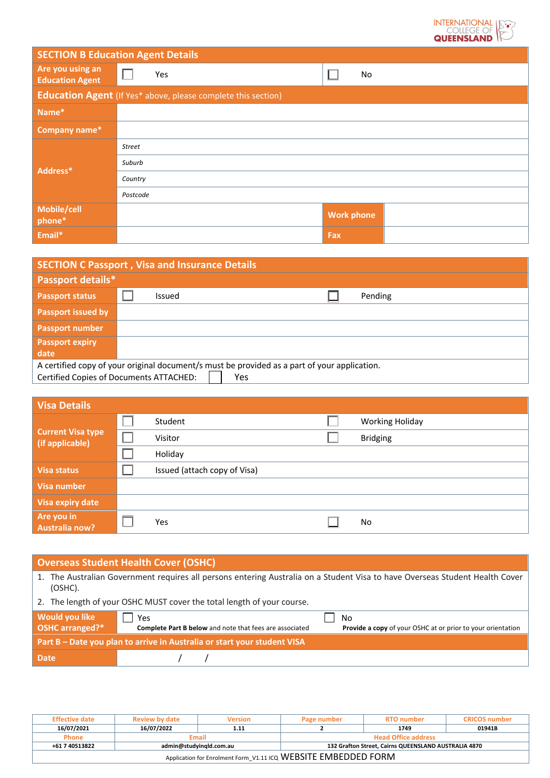

| <b>SECTION B Education Agent Details</b>   |                                                                      |                   |  |  |  |  |
|--------------------------------------------|----------------------------------------------------------------------|-------------------|--|--|--|--|
| Are you using an<br><b>Education Agent</b> | Yes                                                                  | No                |  |  |  |  |
|                                            | <b>Education Agent</b> (If Yes* above, please complete this section) |                   |  |  |  |  |
| Name*                                      |                                                                      |                   |  |  |  |  |
| Company name*                              |                                                                      |                   |  |  |  |  |
|                                            | <b>Street</b>                                                        |                   |  |  |  |  |
| Address*                                   | Suburb                                                               |                   |  |  |  |  |
|                                            | Country                                                              |                   |  |  |  |  |
|                                            | Postcode                                                             |                   |  |  |  |  |
| Mobile/cell<br>phone*                      |                                                                      | <b>Work phone</b> |  |  |  |  |
| Email*                                     |                                                                      | Fax               |  |  |  |  |

| <b>SECTION C Passport, Visa and Insurance Details</b> |                                                                                              |  |  |  |  |  |
|-------------------------------------------------------|----------------------------------------------------------------------------------------------|--|--|--|--|--|
| Passport details*                                     |                                                                                              |  |  |  |  |  |
| <b>Passport status</b>                                | Pending<br>Issued                                                                            |  |  |  |  |  |
| <b>Passport issued by</b>                             |                                                                                              |  |  |  |  |  |
| <b>Passport number</b>                                |                                                                                              |  |  |  |  |  |
| <b>Passport expiry</b>                                |                                                                                              |  |  |  |  |  |
| date                                                  |                                                                                              |  |  |  |  |  |
|                                                       | A certified copy of your original document/s must be provided as a part of your application. |  |  |  |  |  |
|                                                       | Certified Copies of Documents ATTACHED:<br>Yes                                               |  |  |  |  |  |

| <b>Visa Details</b>                         |                              |                        |
|---------------------------------------------|------------------------------|------------------------|
| <b>Current Visa type</b><br>(if applicable) | Student                      | <b>Working Holiday</b> |
|                                             | Visitor                      | <b>Bridging</b>        |
|                                             | Holiday                      |                        |
| <b>Visa status</b>                          | Issued (attach copy of Visa) |                        |
| Visa number                                 |                              |                        |
| Visa expiry date                            |                              |                        |
| Are you in<br><b>Australia now?</b>         | Yes                          | No                     |

| <b>Overseas Student Health Cover (OSHC)</b>                                                                                                   |                                                                                                                                                   |  |  |  |  |  |
|-----------------------------------------------------------------------------------------------------------------------------------------------|---------------------------------------------------------------------------------------------------------------------------------------------------|--|--|--|--|--|
| The Australian Government requires all persons entering Australia on a Student Visa to have Overseas Student Health Cover<br>1.<br>$(OSHC)$ . |                                                                                                                                                   |  |  |  |  |  |
|                                                                                                                                               | 2. The length of your OSHC MUST cover the total length of your course.                                                                            |  |  |  |  |  |
| Would you like<br>OSHC arranged?*                                                                                                             | Yes<br>No<br><b>Complete Part B below</b> and note that fees are associated<br><b>Provide a copy of your OSHC at or prior to your orientation</b> |  |  |  |  |  |
| Part B – Date you plan to arrive in Australia or start your student VISA                                                                      |                                                                                                                                                   |  |  |  |  |  |
| <b>Date</b>                                                                                                                                   |                                                                                                                                                   |  |  |  |  |  |

| <b>Effective date</b>                                          | <b>Review by date</b><br><b>Version</b>                                         |       | Page number                | <b>RTO</b> number | <b>CRICOS number</b> |  |
|----------------------------------------------------------------|---------------------------------------------------------------------------------|-------|----------------------------|-------------------|----------------------|--|
| 16/07/2021                                                     | 16/07/2022                                                                      | 1.11  |                            | 1749              | 01941B               |  |
| <b>Phone</b>                                                   |                                                                                 | Email | <b>Head Office address</b> |                   |                      |  |
| +61 7 40513822                                                 | admin@studyingld.com.au<br>132 Grafton Street, Cairns QUEENSLAND AUSTRALIA 4870 |       |                            |                   |                      |  |
| Application for Enrolment Form_V1.11 ICQ WEBSITE EMBEDDED FORM |                                                                                 |       |                            |                   |                      |  |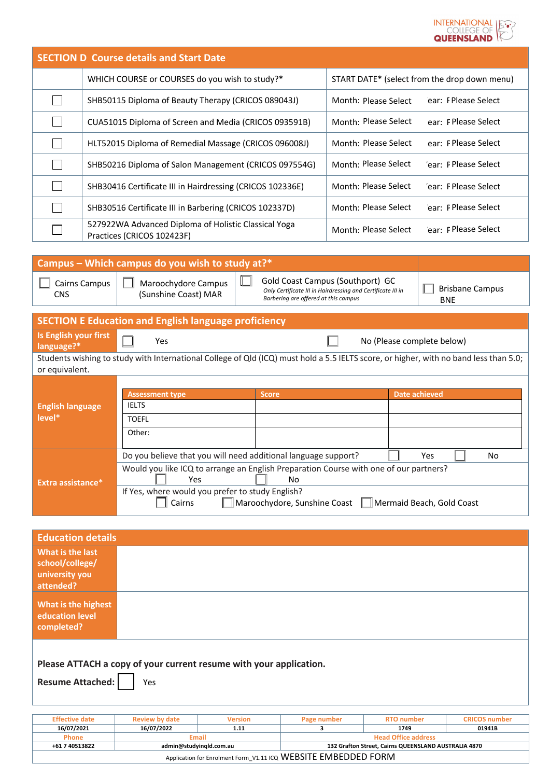

|                                     |                                                                                                                         | <b>SECTION D Course details and Start Date</b>                                                                                                          |                                              |                                                                                                 |                                      |
|-------------------------------------|-------------------------------------------------------------------------------------------------------------------------|---------------------------------------------------------------------------------------------------------------------------------------------------------|----------------------------------------------|-------------------------------------------------------------------------------------------------|--------------------------------------|
|                                     |                                                                                                                         | WHICH COURSE or COURSES do you wish to study?*                                                                                                          | START DATE* (select from the drop down menu) |                                                                                                 |                                      |
|                                     |                                                                                                                         | SHB50115 Diploma of Beauty Therapy (CRICOS 089043J)                                                                                                     | Month: Please Select                         | ear: I Please Select                                                                            |                                      |
|                                     |                                                                                                                         | CUA51015 Diploma of Screen and Media (CRICOS 093591B)                                                                                                   | Month: Please Select                         | ear: F Please Select                                                                            |                                      |
|                                     |                                                                                                                         | HLT52015 Diploma of Remedial Massage (CRICOS 096008J)                                                                                                   | Month: Please Select                         | ear: FPlease Select                                                                             |                                      |
|                                     |                                                                                                                         | SHB50216 Diploma of Salon Management (CRICOS 097554G)                                                                                                   |                                              | Month: Please Select                                                                            | 'ear: F Please Select                |
|                                     |                                                                                                                         | SHB30416 Certificate III in Hairdressing (CRICOS 102336E)                                                                                               |                                              | Month: Please Select                                                                            | 'ear: FPlease Select                 |
|                                     |                                                                                                                         | SHB30516 Certificate III in Barbering (CRICOS 102337D)                                                                                                  |                                              | Month: Please Select                                                                            | ear: FPlease Select                  |
|                                     |                                                                                                                         | 527922WA Advanced Diploma of Holistic Classical Yoga<br>Practices (CRICOS 102423F)                                                                      |                                              | Month: Please Select                                                                            | ear: F Please Select                 |
|                                     |                                                                                                                         |                                                                                                                                                         |                                              |                                                                                                 |                                      |
|                                     |                                                                                                                         | Campus - Which campus do you wish to study at?*                                                                                                         |                                              |                                                                                                 |                                      |
| <b>CNS</b>                          | Ш<br>Cairns Campus<br>Maroochydore Campus<br>(Sunshine Coast) MAR<br>Barbering are offered at this campus               |                                                                                                                                                         |                                              | Gold Coast Campus (Southport) GC<br>Only Certificate III in Hairdressing and Certificate III in | <b>Brisbane Campus</b><br><b>BNE</b> |
|                                     |                                                                                                                         | <b>SECTION E Education and English language proficiency</b>                                                                                             |                                              |                                                                                                 |                                      |
| Is English your first<br>language?* |                                                                                                                         | Yes                                                                                                                                                     |                                              | No (Please complete below)                                                                      |                                      |
|                                     |                                                                                                                         | Students wishing to study with International College of Qld (ICQ) must hold a 5.5 IELTS score, or higher, with no band less than 5.0;                   |                                              |                                                                                                 |                                      |
| or equivalent.                      |                                                                                                                         |                                                                                                                                                         |                                              |                                                                                                 |                                      |
|                                     |                                                                                                                         |                                                                                                                                                         |                                              |                                                                                                 |                                      |
| <b>English language</b>             |                                                                                                                         | <b>Assessment type</b><br><b>IELTS</b>                                                                                                                  | Score                                        |                                                                                                 | <b>Date achieved</b>                 |
| level*                              |                                                                                                                         | <b>TOEFL</b>                                                                                                                                            |                                              |                                                                                                 |                                      |
|                                     |                                                                                                                         | Other:                                                                                                                                                  |                                              |                                                                                                 |                                      |
|                                     |                                                                                                                         |                                                                                                                                                         |                                              |                                                                                                 |                                      |
|                                     |                                                                                                                         | Do you believe that you will need additional language support?<br>Would you like ICQ to arrange an English Preparation Course with one of our partners? |                                              |                                                                                                 | Yes<br>No                            |
| Extra assistance*                   |                                                                                                                         | Yes                                                                                                                                                     | No                                           |                                                                                                 |                                      |
|                                     | If Yes, where would you prefer to study English?<br>Maroochydore, Sunshine Coast<br>Mermaid Beach, Gold Coast<br>Cairns |                                                                                                                                                         |                                              |                                                                                                 |                                      |
|                                     |                                                                                                                         |                                                                                                                                                         |                                              |                                                                                                 |                                      |
| <b>Education details</b>            |                                                                                                                         |                                                                                                                                                         |                                              |                                                                                                 |                                      |
| What is the last                    |                                                                                                                         |                                                                                                                                                         |                                              |                                                                                                 |                                      |
|                                     |                                                                                                                         |                                                                                                                                                         |                                              |                                                                                                 |                                      |

| What is the last<br>school/college/<br>university you<br>attended?                                   |                       |                              |                    |                   |               |  |  |
|------------------------------------------------------------------------------------------------------|-----------------------|------------------------------|--------------------|-------------------|---------------|--|--|
| What is the highest<br><b>education level</b><br>completed?                                          |                       |                              |                    |                   |               |  |  |
| Please ATTACH a copy of your current resume with your application.<br><b>Resume Attached:</b><br>Yes |                       |                              |                    |                   |               |  |  |
| <b>Effective date</b>                                                                                | <b>Roview by data</b> | <b><i><u>Moreion</u></i></b> | <b>Dage number</b> | <b>RTO</b> number | CRICOS number |  |  |

| <b>Effective date</b>                                          | <b>Review by date</b>   | <b>Version</b> | Page number                                          | <b>RTO</b> number | <b>CRICOS</b> number |  |
|----------------------------------------------------------------|-------------------------|----------------|------------------------------------------------------|-------------------|----------------------|--|
| 16/07/2021                                                     | 16/07/2022              | 1.11           |                                                      | 1749              | 01941B               |  |
| <b>Phone</b>                                                   | Email                   |                | <b>Head Office address</b>                           |                   |                      |  |
| +61 7 40513822                                                 | admin@studyingld.com.au |                | 132 Grafton Street, Cairns QUEENSLAND AUSTRALIA 4870 |                   |                      |  |
| Application for Enrolment Form_V1.11 ICQ WEBSITE EMBEDDED FORM |                         |                |                                                      |                   |                      |  |